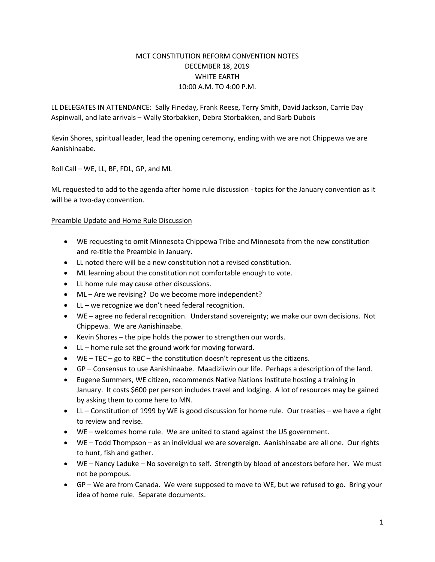# MCT CONSTITUTION REFORM CONVENTION NOTES DECEMBER 18, 2019 WHITE EARTH 10:00 A.M. TO 4:00 P.M.

LL DELEGATES IN ATTENDANCE: Sally Fineday, Frank Reese, Terry Smith, David Jackson, Carrie Day Aspinwall, and late arrivals – Wally Storbakken, Debra Storbakken, and Barb Dubois

Kevin Shores, spiritual leader, lead the opening ceremony, ending with we are not Chippewa we are Aanishinaabe.

Roll Call – WE, LL, BF, FDL, GP, and ML

ML requested to add to the agenda after home rule discussion - topics for the January convention as it will be a two-day convention.

## Preamble Update and Home Rule Discussion

- WE requesting to omit Minnesota Chippewa Tribe and Minnesota from the new constitution and re-title the Preamble in January.
- LL noted there will be a new constitution not a revised constitution.
- ML learning about the constitution not comfortable enough to vote.
- LL home rule may cause other discussions.
- ML Are we revising? Do we become more independent?
- LL we recognize we don't need federal recognition.
- WE agree no federal recognition. Understand sovereignty; we make our own decisions. Not Chippewa. We are Aanishinaabe.
- $\bullet$  Kevin Shores the pipe holds the power to strengthen our words.
- LL home rule set the ground work for moving forward.
- WE TEC go to RBC the constitution doesn't represent us the citizens.
- GP Consensus to use Aanishinaabe. Maadiziiwin our life. Perhaps a description of the land.
- Eugene Summers, WE citizen, recommends Native Nations Institute hosting a training in January. It costs \$600 per person includes travel and lodging. A lot of resources may be gained by asking them to come here to MN.
- LL Constitution of 1999 by WE is good discussion for home rule. Our treaties we have a right to review and revise.
- WE welcomes home rule. We are united to stand against the US government.
- WE Todd Thompson as an individual we are sovereign. Aanishinaabe are all one. Our rights to hunt, fish and gather.
- WE Nancy Laduke No sovereign to self. Strength by blood of ancestors before her. We must not be pompous.
- GP We are from Canada. We were supposed to move to WE, but we refused to go. Bring your idea of home rule. Separate documents.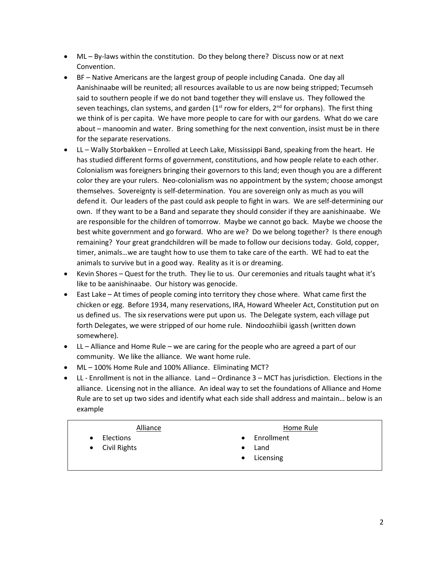- ML By-laws within the constitution. Do they belong there? Discuss now or at next Convention.
- BF Native Americans are the largest group of people including Canada. One day all Aanishinaabe will be reunited; all resources available to us are now being stripped; Tecumseh said to southern people if we do not band together they will enslave us. They followed the seven teachings, clan systems, and garden  $(1<sup>st</sup> row for edges, 2<sup>nd</sup> for or phans).$  The first thing we think of is per capita. We have more people to care for with our gardens. What do we care about – manoomin and water. Bring something for the next convention, insist must be in there for the separate reservations.
- LL Wally Storbakken Enrolled at Leech Lake, Mississippi Band, speaking from the heart. He has studied different forms of government, constitutions, and how people relate to each other. Colonialism was foreigners bringing their governors to this land; even though you are a different color they are your rulers. Neo-colonialism was no appointment by the system; choose amongst themselves. Sovereignty is self-determination. You are sovereign only as much as you will defend it. Our leaders of the past could ask people to fight in wars. We are self-determining our own. If they want to be a Band and separate they should consider if they are aanishinaabe. We are responsible for the children of tomorrow. Maybe we cannot go back. Maybe we choose the best white government and go forward. Who are we? Do we belong together? Is there enough remaining? Your great grandchildren will be made to follow our decisions today. Gold, copper, timer, animals…we are taught how to use them to take care of the earth. WE had to eat the animals to survive but in a good way. Reality as it is or dreaming.
- Kevin Shores Quest for the truth. They lie to us. Our ceremonies and rituals taught what it's like to be aanishinaabe. Our history was genocide.
- East Lake At times of people coming into territory they chose where. What came first the chicken or egg. Before 1934, many reservations, IRA, Howard Wheeler Act, Constitution put on us defined us. The six reservations were put upon us. The Delegate system, each village put forth Delegates, we were stripped of our home rule. Nindoozhiibii igassh (written down somewhere).
- LL Alliance and Home Rule we are caring for the people who are agreed a part of our community. We like the alliance. We want home rule.
- ML 100% Home Rule and 100% Alliance. Eliminating MCT?
- LL Enrollment is not in the alliance. Land Ordinance 3 MCT has jurisdiction. Elections in the alliance. Licensing not in the alliance. An ideal way to set the foundations of Alliance and Home Rule are to set up two sides and identify what each side shall address and maintain… below is an example

- 
- Civil Rights Land

### Alliance **Home Rule**

- Elections Enrollment
	-
	- **Licensing**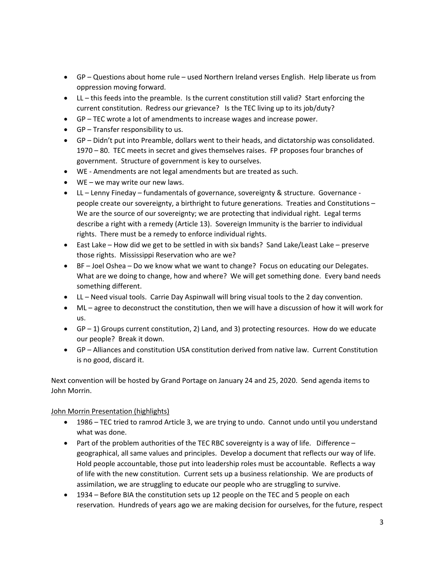- GP Questions about home rule used Northern Ireland verses English. Help liberate us from oppression moving forward.
- LL this feeds into the preamble. Is the current constitution still valid? Start enforcing the current constitution. Redress our grievance? Is the TEC living up to its job/duty?
- GP TEC wrote a lot of amendments to increase wages and increase power.
- GP Transfer responsibility to us.
- GP Didn't put into Preamble, dollars went to their heads, and dictatorship was consolidated. 1970 – 80. TEC meets in secret and gives themselves raises. FP proposes four branches of government. Structure of government is key to ourselves.
- WE Amendments are not legal amendments but are treated as such.
- WE we may write our new laws.
- LL Lenny Fineday fundamentals of governance, sovereignty & structure. Governance people create our sovereignty, a birthright to future generations. Treaties and Constitutions – We are the source of our sovereignty; we are protecting that individual right. Legal terms describe a right with a remedy (Article 13). Sovereign Immunity is the barrier to individual rights. There must be a remedy to enforce individual rights.
- East Lake How did we get to be settled in with six bands? Sand Lake/Least Lake preserve those rights. Mississippi Reservation who are we?
- BF Joel Oshea Do we know what we want to change? Focus on educating our Delegates. What are we doing to change, how and where? We will get something done. Every band needs something different.
- LL Need visual tools. Carrie Day Aspinwall will bring visual tools to the 2 day convention.
- ML agree to deconstruct the constitution, then we will have a discussion of how it will work for us.
- $\bullet$  GP 1) Groups current constitution, 2) Land, and 3) protecting resources. How do we educate our people? Break it down.
- GP Alliances and constitution USA constitution derived from native law. Current Constitution is no good, discard it.

Next convention will be hosted by Grand Portage on January 24 and 25, 2020. Send agenda items to John Morrin.

# John Morrin Presentation (highlights)

- 1986 TEC tried to ramrod Article 3, we are trying to undo. Cannot undo until you understand what was done.
- Part of the problem authorities of the TEC RBC sovereignty is a way of life. Difference geographical, all same values and principles. Develop a document that reflects our way of life. Hold people accountable, those put into leadership roles must be accountable. Reflects a way of life with the new constitution. Current sets up a business relationship. We are products of assimilation, we are struggling to educate our people who are struggling to survive.
- 1934 Before BIA the constitution sets up 12 people on the TEC and 5 people on each reservation. Hundreds of years ago we are making decision for ourselves, for the future, respect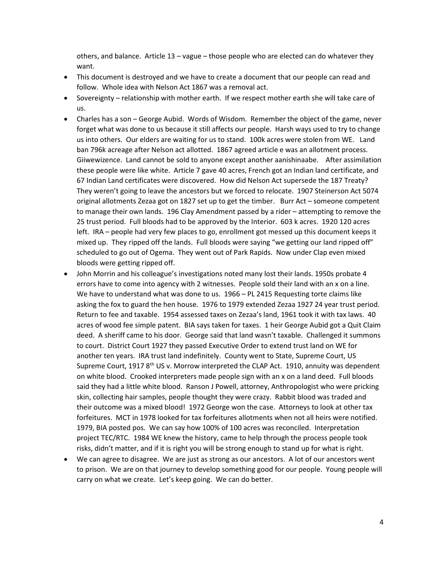others, and balance. Article 13 – vague – those people who are elected can do whatever they want.

- This document is destroyed and we have to create a document that our people can read and follow. Whole idea with Nelson Act 1867 was a removal act.
- Sovereignty relationship with mother earth. If we respect mother earth she will take care of us.
- Charles has a son George Aubid. Words of Wisdom. Remember the object of the game, never forget what was done to us because it still affects our people. Harsh ways used to try to change us into others. Our elders are waiting for us to stand. 100k acres were stolen from WE. Land ban 796k acreage after Nelson act allotted. 1867 agreed article e was an allotment process. Giiwewizence. Land cannot be sold to anyone except another aanishinaabe. After assimilation these people were like white. Article 7 gave 40 acres, French got an Indian land certificate, and 67 Indian Land certificates were discovered. How did Nelson Act supersede the 187 Treaty? They weren't going to leave the ancestors but we forced to relocate. 1907 Steinerson Act 5074 original allotments Zezaa got on 1827 set up to get the timber. Burr Act – someone competent to manage their own lands. 196 Clay Amendment passed by a rider – attempting to remove the 25 trust period. Full bloods had to be approved by the Interior. 603 k acres. 1920 120 acres left. IRA – people had very few places to go, enrollment got messed up this document keeps it mixed up. They ripped off the lands. Full bloods were saying "we getting our land ripped off" scheduled to go out of Ogema. They went out of Park Rapids. Now under Clap even mixed bloods were getting ripped off.
- John Morrin and his colleague's investigations noted many lost their lands. 1950s probate 4 errors have to come into agency with 2 witnesses. People sold their land with an x on a line. We have to understand what was done to us. 1966 – PL 2415 Requesting torte claims like asking the fox to guard the hen house. 1976 to 1979 extended Zezaa 1927 24 year trust period. Return to fee and taxable. 1954 assessed taxes on Zezaa's land, 1961 took it with tax laws. 40 acres of wood fee simple patent. BIA says taken for taxes. 1 heir George Aubid got a Quit Claim deed. A sheriff came to his door. George said that land wasn't taxable. Challenged it summons to court. District Court 1927 they passed Executive Order to extend trust land on WE for another ten years. IRA trust land indefinitely. County went to State, Supreme Court, US Supreme Court, 1917 8<sup>th</sup> US v. Morrow interpreted the CLAP Act. 1910, annuity was dependent on white blood. Crooked interpreters made people sign with an x on a land deed. Full bloods said they had a little white blood. Ranson J Powell, attorney, Anthropologist who were pricking skin, collecting hair samples, people thought they were crazy. Rabbit blood was traded and their outcome was a mixed blood! 1972 George won the case. Attorneys to look at other tax forfeitures. MCT in 1978 looked for tax forfeitures allotments when not all heirs were notified. 1979, BIA posted pos. We can say how 100% of 100 acres was reconciled. Interpretation project TEC/RTC. 1984 WE knew the history, came to help through the process people took risks, didn't matter, and if it is right you will be strong enough to stand up for what is right.
- We can agree to disagree. We are just as strong as our ancestors. A lot of our ancestors went to prison. We are on that journey to develop something good for our people. Young people will carry on what we create. Let's keep going. We can do better.